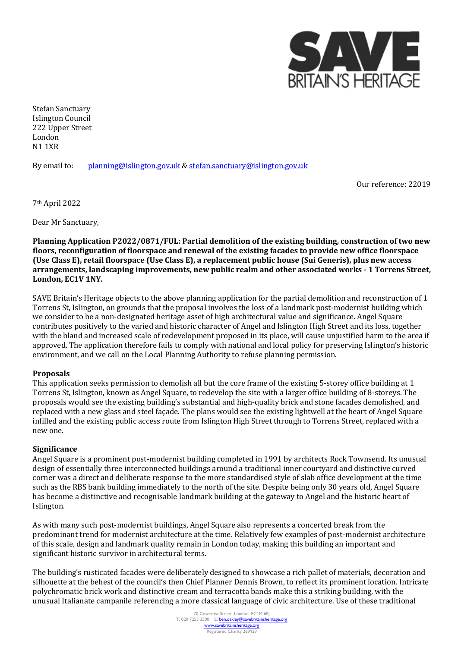

Stefan Sanctuary Islington Council 222 Upper Street London N1 1XR

By email to: [planning@islington.gov.uk](mailto:planning@islington.gov.uk) & [stefan.sanctuary@islington.gov.uk](mailto:stefan.sanctuary@islington.gov.uk)

Our reference: 22019

7th April 2022

Dear Mr Sanctuary,

**Planning Application P2022/0871/FUL: Partial demolition of the existing building, construction of two new floors, reconfiguration of floorspace and renewal of the existing facades to provide new office floorspace (Use Class E), retail floorspace (Use Class E), a replacement public house (Sui Generis), plus new access arrangements, landscaping improvements, new public realm and other associated works - 1 Torrens Street, London, EC1V 1NY.**

SAVE Britain's Heritage objects to the above planning application for the partial demolition and reconstruction of 1 Torrens St, Islington, on grounds that the proposal involves the loss of a landmark post-modernist building which we consider to be a non-designated heritage asset of high architectural value and significance. Angel Square contributes positively to the varied and historic character of Angel and Islington High Street and its loss, together with the bland and increased scale of redevelopment proposed in its place, will cause unjustified harm to the area if approved. The application therefore fails to comply with national and local policy for preserving Islington's historic environment, and we call on the Local Planning Authority to refuse planning permission.

## **Proposals**

This application seeks permission to demolish all but the core frame of the existing 5-storey office building at 1 Torrens St, Islington, known as Angel Square, to redevelop the site with a larger office building of 8-storeys. The proposals would see the existing building's substantial and high-quality brick and stone facades demolished, and replaced with a new glass and steel façade. The plans would see the existing lightwell at the heart of Angel Square infilled and the existing public access route from Islington High Street through to Torrens Street, replaced with a new one.

## **Significance**

Angel Square is a prominent post-modernist building completed in 1991 by architects Rock Townsend. Its unusual design of essentially three interconnected buildings around a traditional inner courtyard and distinctive curved corner was a direct and deliberate response to the more standardised style of slab office development at the time such as the RBS bank building immediately to the north of the site. Despite being only 30 years old, Angel Square has become a distinctive and recognisable landmark building at the gateway to Angel and the historic heart of Islington.

As with many such post-modernist buildings, Angel Square also represents a concerted break from the predominant trend for modernist architecture at the time. Relatively few examples of post-modernist architecture of this scale, design and landmark quality remain in London today, making this building an important and significant historic survivor in architectural terms.

The building's rusticated facades were deliberately designed to showcase a rich pallet of materials, decoration and silhouette at the behest of the council's then Chief Planner Dennis Brown, to reflect its prominent location. Intricate polychromatic brick work and distinctive cream and terracotta bands make this a striking building, with the unusual Italianate campanile referencing a more classical language of civic architecture. Use of these traditional